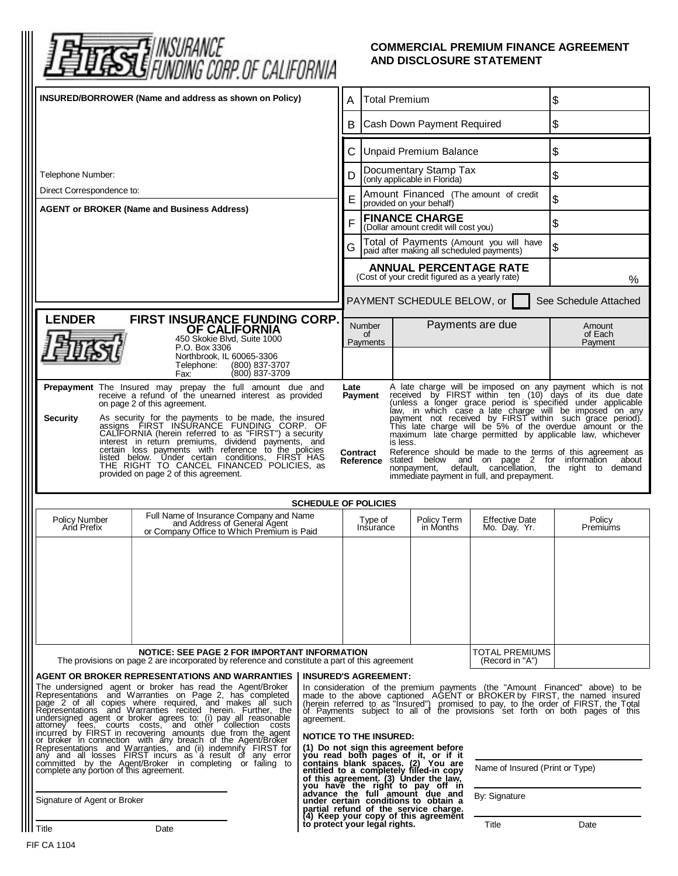| FUNDING CORP. OF CALIFORNIA                                                                                                                                                                                                                                                                                                                                                                                                                                                                                                                                                                                                                                                                                                                                                                                                                                                                                                                                                                                                                                                                                                                                                                                                                                                                                           |                                                                                                                       |                                                                                                                                                                                                                                                                                                                                                       |                                                                                                                                                                                                                                                                                     | AND DISCLOSURE STATEMENT                                                      | <b>COMMERCIAL PREMIUM FINANCE AGREEMENT</b> |                              |
|-----------------------------------------------------------------------------------------------------------------------------------------------------------------------------------------------------------------------------------------------------------------------------------------------------------------------------------------------------------------------------------------------------------------------------------------------------------------------------------------------------------------------------------------------------------------------------------------------------------------------------------------------------------------------------------------------------------------------------------------------------------------------------------------------------------------------------------------------------------------------------------------------------------------------------------------------------------------------------------------------------------------------------------------------------------------------------------------------------------------------------------------------------------------------------------------------------------------------------------------------------------------------------------------------------------------------|-----------------------------------------------------------------------------------------------------------------------|-------------------------------------------------------------------------------------------------------------------------------------------------------------------------------------------------------------------------------------------------------------------------------------------------------------------------------------------------------|-------------------------------------------------------------------------------------------------------------------------------------------------------------------------------------------------------------------------------------------------------------------------------------|-------------------------------------------------------------------------------|---------------------------------------------|------------------------------|
| INSURED/BORROWER (Name and address as shown on Policy)                                                                                                                                                                                                                                                                                                                                                                                                                                                                                                                                                                                                                                                                                                                                                                                                                                                                                                                                                                                                                                                                                                                                                                                                                                                                |                                                                                                                       |                                                                                                                                                                                                                                                                                                                                                       | <b>Total Premium</b><br>A                                                                                                                                                                                                                                                           |                                                                               | \$                                          |                              |
|                                                                                                                                                                                                                                                                                                                                                                                                                                                                                                                                                                                                                                                                                                                                                                                                                                                                                                                                                                                                                                                                                                                                                                                                                                                                                                                       |                                                                                                                       |                                                                                                                                                                                                                                                                                                                                                       | Cash Down Payment Required<br>В                                                                                                                                                                                                                                                     |                                                                               | \$                                          |                              |
|                                                                                                                                                                                                                                                                                                                                                                                                                                                                                                                                                                                                                                                                                                                                                                                                                                                                                                                                                                                                                                                                                                                                                                                                                                                                                                                       |                                                                                                                       |                                                                                                                                                                                                                                                                                                                                                       | <b>Unpaid Premium Balance</b><br>С                                                                                                                                                                                                                                                  |                                                                               | \$                                          |                              |
| Telephone Number:                                                                                                                                                                                                                                                                                                                                                                                                                                                                                                                                                                                                                                                                                                                                                                                                                                                                                                                                                                                                                                                                                                                                                                                                                                                                                                     |                                                                                                                       |                                                                                                                                                                                                                                                                                                                                                       | Documentary Stamp Tax<br>D<br>(only applicable in Florida)                                                                                                                                                                                                                          |                                                                               |                                             | \$                           |
| Direct Correspondence to:<br><b>AGENT or BROKER (Name and Business Address)</b>                                                                                                                                                                                                                                                                                                                                                                                                                                                                                                                                                                                                                                                                                                                                                                                                                                                                                                                                                                                                                                                                                                                                                                                                                                       |                                                                                                                       |                                                                                                                                                                                                                                                                                                                                                       | Amount Financed (The amount of credit<br>Е<br>provided on your behalf)                                                                                                                                                                                                              |                                                                               |                                             | \$                           |
|                                                                                                                                                                                                                                                                                                                                                                                                                                                                                                                                                                                                                                                                                                                                                                                                                                                                                                                                                                                                                                                                                                                                                                                                                                                                                                                       |                                                                                                                       |                                                                                                                                                                                                                                                                                                                                                       | <b>FINANCE CHARGE</b><br>F<br>(Dollar amount credit will cost you)                                                                                                                                                                                                                  |                                                                               |                                             | \$                           |
|                                                                                                                                                                                                                                                                                                                                                                                                                                                                                                                                                                                                                                                                                                                                                                                                                                                                                                                                                                                                                                                                                                                                                                                                                                                                                                                       |                                                                                                                       |                                                                                                                                                                                                                                                                                                                                                       | Total of Payments (Amount you will have<br>G<br>paid after making all scheduled payments)                                                                                                                                                                                           |                                                                               |                                             | \$                           |
|                                                                                                                                                                                                                                                                                                                                                                                                                                                                                                                                                                                                                                                                                                                                                                                                                                                                                                                                                                                                                                                                                                                                                                                                                                                                                                                       |                                                                                                                       |                                                                                                                                                                                                                                                                                                                                                       | <b>ANNUAL PERCENTAGE RATE</b><br>(Cost of your credit figured as a yearly rate)                                                                                                                                                                                                     |                                                                               |                                             | %                            |
|                                                                                                                                                                                                                                                                                                                                                                                                                                                                                                                                                                                                                                                                                                                                                                                                                                                                                                                                                                                                                                                                                                                                                                                                                                                                                                                       |                                                                                                                       |                                                                                                                                                                                                                                                                                                                                                       |                                                                                                                                                                                                                                                                                     | PAYMENT SCHEDULE BELOW, or                                                    |                                             | See Schedule Attached        |
| <b>LENDER</b>                                                                                                                                                                                                                                                                                                                                                                                                                                                                                                                                                                                                                                                                                                                                                                                                                                                                                                                                                                                                                                                                                                                                                                                                                                                                                                         | FIRST INSURANCE FUNDING CORP.<br>OF CALIFORNIA<br>450 Skokie Blvd, Suite 1000                                         |                                                                                                                                                                                                                                                                                                                                                       | <b>Number</b><br>of<br>Payments                                                                                                                                                                                                                                                     |                                                                               | Payments are due                            | Amount<br>of Each<br>Payment |
|                                                                                                                                                                                                                                                                                                                                                                                                                                                                                                                                                                                                                                                                                                                                                                                                                                                                                                                                                                                                                                                                                                                                                                                                                                                                                                                       | P.O. Box 3306<br>Northbrook, IL 60065-3306<br>Telephone:<br>(800) 837-3707<br>(800) 837-3709<br>Fax:                  |                                                                                                                                                                                                                                                                                                                                                       |                                                                                                                                                                                                                                                                                     |                                                                               |                                             |                              |
| A late charge will be imposed on any payment which is not received by FIRST within ten (10) days of its due date<br>Prepayment The Insured may prepay the full amount due and<br>receive a refund of the unearned interest as provided<br>Late<br>Payment<br>(unless a longer grace period is specified under applicable<br>on page 2 of this agreement.<br>law, in which case a late charge will be imposed on any<br>payment not received by FIRST within such grace period).<br>As security for the payments to be made, the insured assigns FIRST INSURANCE FUNDING CORP. OF<br><b>Security</b><br>This late charge will be 5% of the overdue amount or the<br>CALIFORNIA (herein referred to as "FIRST") a security<br>maximum late charge permitted by applicable law, whichever<br>interest in return premiums, dividend payments, and<br>is less.<br>certain loss payments with reference to the policies<br>Reference should be made to the terms of this agreement as<br>Contract<br>listed below. Under certain conditions, FIRST HAS<br>stated below and on page 2 for information<br>about<br>Reference<br>THE RIGHT TO CANCEL FINANCED POLICIES, as<br>default, cancellation, the right to demand<br>nonpayment.<br>provided on page 2 of this agreement.<br>immediate payment in full, and prepayment. |                                                                                                                       |                                                                                                                                                                                                                                                                                                                                                       |                                                                                                                                                                                                                                                                                     |                                                                               |                                             |                              |
|                                                                                                                                                                                                                                                                                                                                                                                                                                                                                                                                                                                                                                                                                                                                                                                                                                                                                                                                                                                                                                                                                                                                                                                                                                                                                                                       |                                                                                                                       |                                                                                                                                                                                                                                                                                                                                                       | <b>SCHEDULE OF POLICIES</b>                                                                                                                                                                                                                                                         |                                                                               |                                             |                              |
| <b>Policy Number</b><br>And Prefix                                                                                                                                                                                                                                                                                                                                                                                                                                                                                                                                                                                                                                                                                                                                                                                                                                                                                                                                                                                                                                                                                                                                                                                                                                                                                    | Full Name of Insurance Company and Name<br>and Address of General Agent<br>or Company Office to Which Premium is Paid |                                                                                                                                                                                                                                                                                                                                                       | Type of<br>Insurance                                                                                                                                                                                                                                                                | Policy Term<br>in Months                                                      | <b>Effective Date</b><br>Mo. Day. Yr.       | Policy<br>Premiums           |
|                                                                                                                                                                                                                                                                                                                                                                                                                                                                                                                                                                                                                                                                                                                                                                                                                                                                                                                                                                                                                                                                                                                                                                                                                                                                                                                       |                                                                                                                       |                                                                                                                                                                                                                                                                                                                                                       |                                                                                                                                                                                                                                                                                     |                                                                               |                                             |                              |
| NOTICE: SEE PAGE 2 FOR IMPORTANT INFORMATION<br>The provisions on page 2 are incorporated by reference and constitute a part of this agreement                                                                                                                                                                                                                                                                                                                                                                                                                                                                                                                                                                                                                                                                                                                                                                                                                                                                                                                                                                                                                                                                                                                                                                        |                                                                                                                       |                                                                                                                                                                                                                                                                                                                                                       |                                                                                                                                                                                                                                                                                     |                                                                               | TOTAL PREMIUMS<br>(Record in "A")           |                              |
| <b>AGENT OR BROKER REPRESENTATIONS AND WARRANTIES</b><br>The undersigned agent or broker has read the Agent/Broker<br>Representations and Warranties on Page 2, has completed<br>page 2 of all copies where required, and makes all such<br>Representations and Warranties recited herein. Further, the<br>indersigned agent or broker agrees to: (i) pay all reasonable<br>attorney fees, courts costs, and other collection costs<br>incurred by FIRST in recovering amounts due from the agent<br>or broker in connection with any breach of th<br>any and all losses FIRST incurs as a result of any error committed by the Agent/Broker in completing or failing to                                                                                                                                                                                                                                                                                                                                                                                                                                                                                                                                                                                                                                              |                                                                                                                       | <b>INSURED'S AGREEMENT:</b><br>In consideration of the premium payments (the "Amount Financed" above) to be made to the above captioned AGENT or BROKER by FIRST, the named insured (herein referred to as "Insured") promised to pay, to the order of FIRST,<br>agreement.<br><b>NOTICE TO THE INSURED:</b><br>(1) Do not sign this agreement before |                                                                                                                                                                                                                                                                                     |                                                                               |                                             |                              |
| complete any portion of this agreement.                                                                                                                                                                                                                                                                                                                                                                                                                                                                                                                                                                                                                                                                                                                                                                                                                                                                                                                                                                                                                                                                                                                                                                                                                                                                               |                                                                                                                       |                                                                                                                                                                                                                                                                                                                                                       | (1) bo include the pages of it, or if it<br>contains blank spaces. (2) You are<br>entitled to a completely filled-in copy<br>of this agreement. (3) Under the law,<br>by ou have the right to pay off in<br>advance the full amount due and<br>u<br>Name of Insured (Print or Type) |                                                                               |                                             |                              |
| Signature of Agent or Broker                                                                                                                                                                                                                                                                                                                                                                                                                                                                                                                                                                                                                                                                                                                                                                                                                                                                                                                                                                                                                                                                                                                                                                                                                                                                                          |                                                                                                                       |                                                                                                                                                                                                                                                                                                                                                       |                                                                                                                                                                                                                                                                                     | partial refund of the service charge.<br>(4) Keep your copy of this agreement | By: Signature                               |                              |
| Title                                                                                                                                                                                                                                                                                                                                                                                                                                                                                                                                                                                                                                                                                                                                                                                                                                                                                                                                                                                                                                                                                                                                                                                                                                                                                                                 | Date                                                                                                                  |                                                                                                                                                                                                                                                                                                                                                       | to protect your legal rights.                                                                                                                                                                                                                                                       |                                                                               | Title                                       | Date                         |